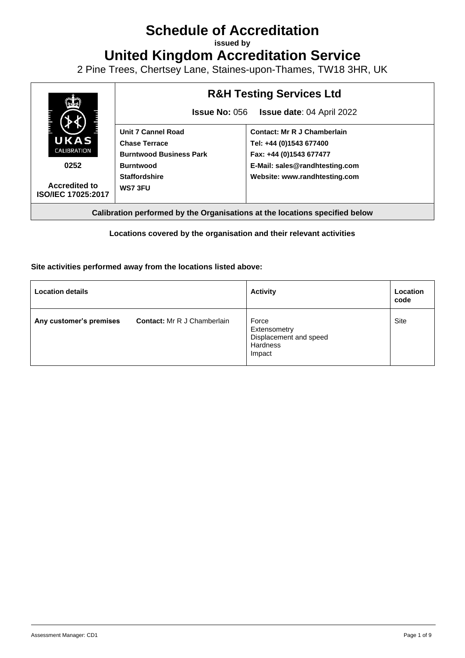# **Schedule of Accreditation**

**issued by**

**United Kingdom Accreditation Service**

2 Pine Trees, Chertsey Lane, Staines-upon-Thames, TW18 3HR, UK



**Calibration performed by the Organisations at the locations specified below**

# **Locations covered by the organisation and their relevant activities**

## **Site activities performed away from the locations listed above:**

| <b>Location details</b> |                                    | <b>Activity</b>                                                              | Location<br>code |
|-------------------------|------------------------------------|------------------------------------------------------------------------------|------------------|
| Any customer's premises | <b>Contact:</b> Mr R J Chamberlain | Force<br>Extensometry<br>Displacement and speed<br><b>Hardness</b><br>Impact | <b>Site</b>      |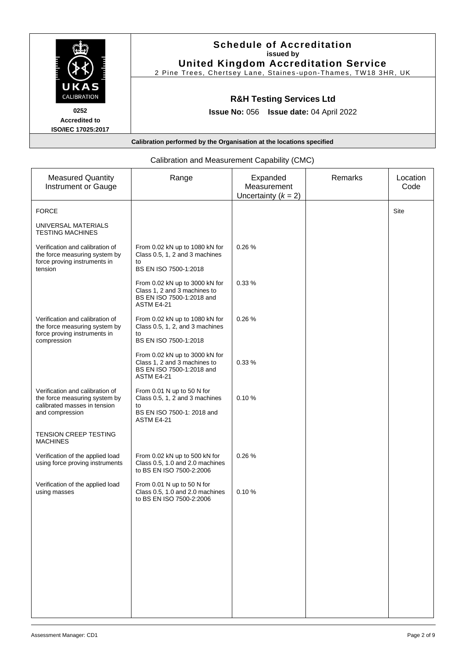|                                                           | <b>Schedule of Accreditation</b><br>issued by<br><b>United Kingdom Accreditation Service</b><br>2 Pine Trees, Chertsey Lane, Staines-upon-Thames, TW18 3HR, UK |
|-----------------------------------------------------------|----------------------------------------------------------------------------------------------------------------------------------------------------------------|
| UKAS<br>CALIBRATION                                       | <b>R&amp;H Testing Services Ltd</b>                                                                                                                            |
| 0252<br><b>Accredited to</b><br><b>ISO/IEC 17025:2017</b> | <b>Issue No: 056 Issue date: 04 April 2022</b>                                                                                                                 |
|                                                           | Calibration performed by the Organisation at the locations specified                                                                                           |

|                                                                                                                     | Calibration and Measurement Capability (CMC)                                                                   |                                                  |         |                  |
|---------------------------------------------------------------------------------------------------------------------|----------------------------------------------------------------------------------------------------------------|--------------------------------------------------|---------|------------------|
| <b>Measured Quantity</b><br><b>Instrument or Gauge</b>                                                              | Range                                                                                                          | Expanded<br>Measurement<br>Uncertainty $(k = 2)$ | Remarks | Location<br>Code |
| <b>FORCE</b>                                                                                                        |                                                                                                                |                                                  |         | Site             |
| UNIVERSAL MATERIALS<br><b>TESTING MACHINES</b>                                                                      |                                                                                                                |                                                  |         |                  |
| Verification and calibration of<br>the force measuring system by<br>force proving instruments in<br>tension         | From 0.02 kN up to 1080 kN for<br>Class 0.5, 1, 2 and 3 machines<br>to<br>BS EN ISO 7500-1:2018                | 0.26%                                            |         |                  |
|                                                                                                                     | From 0.02 kN up to 3000 kN for<br>Class 1, 2 and 3 machines to<br>BS EN ISO 7500-1:2018 and<br>ASTM E4-21      | 0.33%                                            |         |                  |
| Verification and calibration of<br>the force measuring system by<br>force proving instruments in<br>compression     | From 0.02 kN up to 1080 kN for<br>Class 0.5, 1, 2, and 3 machines<br>to<br>BS EN ISO 7500-1:2018               | 0.26%                                            |         |                  |
|                                                                                                                     | From 0.02 kN up to 3000 kN for<br>Class 1, 2 and 3 machines to<br>BS EN ISO 7500-1:2018 and<br>ASTM E4-21      | 0.33%                                            |         |                  |
| Verification and calibration of<br>the force measuring system by<br>calibrated masses in tension<br>and compression | From 0.01 N up to 50 N for<br>Class 0.5, 1, 2 and 3 machines<br>to<br>BS EN ISO 7500-1: 2018 and<br>ASTM E4-21 | 0.10%                                            |         |                  |
| <b>TENSION CREEP TESTING</b><br><b>MACHINES</b>                                                                     |                                                                                                                |                                                  |         |                  |
| Verification of the applied load<br>using force proving instruments                                                 | From 0.02 kN up to 500 kN for<br>Class 0.5, 1.0 and 2.0 machines<br>to BS EN ISO 7500-2:2006                   | 0.26%                                            |         |                  |
| Verification of the applied load<br>using masses                                                                    | From 0.01 N up to 50 N for<br>Class 0.5, 1.0 and 2.0 machines<br>to BS EN ISO 7500-2:2006                      | 0.10%                                            |         |                  |
|                                                                                                                     |                                                                                                                |                                                  |         |                  |
|                                                                                                                     |                                                                                                                |                                                  |         |                  |
|                                                                                                                     |                                                                                                                |                                                  |         |                  |
|                                                                                                                     |                                                                                                                |                                                  |         |                  |

# Calibration and Measurement Capability (CMC)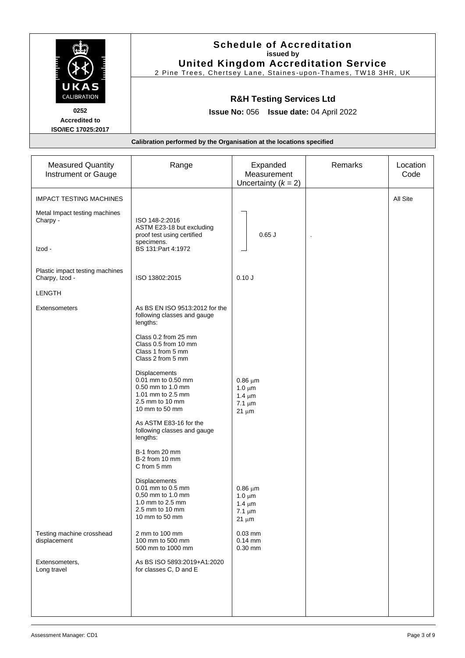|                                                                   | <b>Schedule of Accreditation</b><br>issued by<br><b>United Kingdom Accreditation Service</b><br>2 Pine Trees, Chertsey Lane, Staines-upon-Thames, TW18 3HR, UK |                                                                         |         |                  |
|-------------------------------------------------------------------|----------------------------------------------------------------------------------------------------------------------------------------------------------------|-------------------------------------------------------------------------|---------|------------------|
| CALIBRATION<br>0252<br><b>Accredited to</b><br>ISO/IEC 17025:2017 | <b>R&amp;H Testing Services Ltd</b><br>Issue No: 056 Issue date: 04 April 2022<br>Calibration performed by the Organisation at the locations specified         |                                                                         |         |                  |
|                                                                   |                                                                                                                                                                |                                                                         |         |                  |
| <b>Measured Quantity</b><br>Instrument or Gauge                   | Range                                                                                                                                                          | Expanded<br>Measurement<br>Uncertainty $(k = 2)$                        | Remarks | Location<br>Code |
| <b>IMPACT TESTING MACHINES</b>                                    |                                                                                                                                                                |                                                                         |         | All Site         |
| Metal Impact testing machines<br>Charpy -                         | ISO 148-2:2016<br>ASTM E23-18 but excluding<br>proof test using certified<br>specimens.                                                                        | $0.65$ J                                                                | $\cdot$ |                  |
| Izod -                                                            | BS 131:Part 4:1972                                                                                                                                             |                                                                         |         |                  |
| Plastic impact testing machines<br>Charpy, Izod -                 | ISO 13802:2015                                                                                                                                                 | 0.10J                                                                   |         |                  |
| <b>LENGTH</b>                                                     |                                                                                                                                                                |                                                                         |         |                  |
| <b>Extensometers</b>                                              | As BS EN ISO 9513:2012 for the<br>following classes and gauge<br>lengths:                                                                                      |                                                                         |         |                  |
|                                                                   | Class 0.2 from 25 mm<br>Class 0.5 from 10 mm<br>Class 1 from 5 mm<br>Class 2 from 5 mm                                                                         |                                                                         |         |                  |
|                                                                   | <b>Displacements</b><br>0.01 mm to 0.50 mm<br>0.50 mm to 1.0 mm<br>1.01 mm to 2.5 mm<br>2.5 mm to 10 mm<br>10 mm to 50 mm                                      | $0.86 \mu m$<br>1.0 $\mu$ m<br>1.4 $\mu$ m<br>$7.1 \mu m$<br>$21 \mu m$ |         |                  |
|                                                                   | As ASTM E83-16 for the<br>following classes and gauge<br>lengths:                                                                                              |                                                                         |         |                  |
|                                                                   | B-1 from 20 mm<br>B-2 from 10 mm<br>C from 5 mm                                                                                                                |                                                                         |         |                  |
|                                                                   | Displacements<br>0.01 mm to 0.5 mm<br>0,50 mm to 1.0 mm<br>1.0 mm to 2.5 mm<br>2.5 mm to 10 mm<br>10 mm to 50 mm                                               | $0.86 \mu m$<br>1.0 $\mu$ m<br>1.4 $\mu$ m<br>$7.1 \mu m$<br>$21 \mu m$ |         |                  |
| Testing machine crosshead<br>displacement                         | 2 mm to 100 mm<br>100 mm to 500 mm<br>500 mm to 1000 mm                                                                                                        | $0.03$ mm<br>$0.14$ mm<br>$0.30$ mm                                     |         |                  |
| Extensometers,<br>Long travel                                     | As BS ISO 5893:2019+A1:2020<br>for classes C, D and E                                                                                                          |                                                                         |         |                  |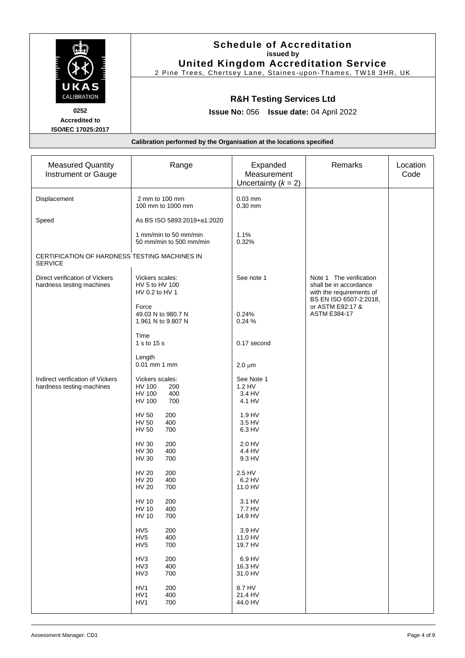|                           | <b>Schedule of Accreditation</b><br>issued by                        |
|---------------------------|----------------------------------------------------------------------|
|                           | <b>United Kingdom Accreditation Service</b>                          |
|                           | 2 Pine Trees, Chertsey Lane, Staines-upon-Thames, TW18 3HR, UK       |
| UKAS                      |                                                                      |
| <b>CALIBRATION</b>        | <b>R&amp;H Testing Services Ltd</b>                                  |
| 0252                      | <b>Issue No: 056 Issue date: 04 April 2022</b>                       |
| <b>Accredited to</b>      |                                                                      |
| <b>ISO/IEC 17025:2017</b> |                                                                      |
|                           | Calibration performed by the Organisation at the locations specified |
|                           |                                                                      |

| <b>Measured Quantity</b><br>Instrument or Gauge                 | Range                                                                            | Expanded<br>Measurement<br>Uncertainty $(k = 2)$ | Remarks                                                                                                 | Location<br>Code |
|-----------------------------------------------------------------|----------------------------------------------------------------------------------|--------------------------------------------------|---------------------------------------------------------------------------------------------------------|------------------|
| Displacement                                                    | 2 mm to 100 mm<br>100 mm to 1000 mm                                              | $0.03$ mm<br>$0.30$ mm                           |                                                                                                         |                  |
| Speed                                                           | As BS ISO 5893:2019+a1:2020                                                      |                                                  |                                                                                                         |                  |
|                                                                 | 1 mm/min to 50 mm/min<br>50 mm/min to 500 mm/min                                 | 1.1%<br>0.32%                                    |                                                                                                         |                  |
| CERTIFICATION OF HARDNESS TESTING MACHINES IN<br><b>SERVICE</b> |                                                                                  |                                                  |                                                                                                         |                  |
| Direct verification of Vickers<br>hardness tesitng machines     | Vickers scales:<br>HV 5 to HV 100<br>HV 0.2 to HV 1                              | See note 1                                       | Note 1 The verification<br>shall be in accordance<br>with the requirements of<br>BS EN ISO 6507-2:2018, |                  |
|                                                                 | Force<br>49.03 N to 980.7 N<br>1.961 N to 9.807 N                                | 0.24%<br>0.24 %                                  | or ASTM E92:17 &<br><b>ASTM E384-17</b>                                                                 |                  |
|                                                                 | Time<br>1 s to 15 s                                                              | 0.17 second                                      |                                                                                                         |                  |
|                                                                 | Length<br>0.01 mm 1 mm                                                           | $2.0 \mu m$                                      |                                                                                                         |                  |
| Indirect verification of Vickers<br>hardness testing machines   | Vickers scales:<br><b>HV 100</b><br>200<br>400<br><b>HV 100</b><br>700<br>HV 100 | See Note 1<br>1.2 HV<br>3.4 HV<br>4.1 HV         |                                                                                                         |                  |
|                                                                 | 200<br><b>HV 50</b><br><b>HV 50</b><br>400<br>700<br><b>HV 50</b>                | 1.9 HV<br>3.5 HV<br>6.3 HV                       |                                                                                                         |                  |
|                                                                 | <b>HV 30</b><br>200<br><b>HV 30</b><br>400<br>700<br><b>HV 30</b>                | 2.0 HV<br>4.4 HV<br>9.3 HV                       |                                                                                                         |                  |
|                                                                 | 200<br><b>HV 20</b><br><b>HV 20</b><br>400<br><b>HV 20</b><br>700                | 2.5 HV<br>6.2 HV<br>11.0 HV                      |                                                                                                         |                  |
|                                                                 | <b>HV 10</b><br>200<br><b>HV 10</b><br>400<br><b>HV 10</b><br>700                | 3.1 HV<br>7.7 HV<br>14.9 HV                      |                                                                                                         |                  |
|                                                                 | HV <sub>5</sub><br>200<br>HV <sub>5</sub><br>400<br>HV <sub>5</sub><br>700       | 3.9 HV<br>11.0 HV<br>19.7 HV                     |                                                                                                         |                  |
|                                                                 | HV3<br>200<br>HV3<br>400<br>HV3<br>700                                           | 6.9 HV<br>16.3 HV<br>31.0 HV                     |                                                                                                         |                  |
|                                                                 | HV1<br>200<br>HV1<br>400<br>HV1<br>700                                           | 8.7 HV<br>21.4 HV<br>44.0 HV                     |                                                                                                         |                  |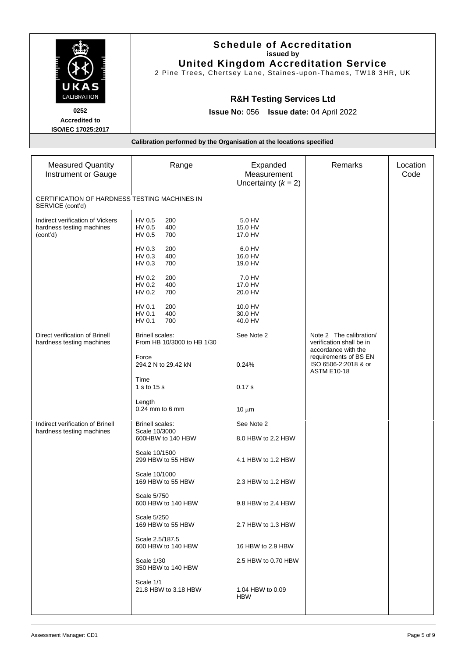|                                                                                  | <b>Schedule of Accreditation</b><br>issued by<br><b>United Kingdom Accreditation Service</b><br>2 Pine Trees, Chertsey Lane, Staines-upon-Thames, TW18 3HR, UK<br><b>R&amp;H Testing Services Ltd</b><br><b>Issue No: 056 Issue date: 04 April 2022</b> |                         |                |                  |  |
|----------------------------------------------------------------------------------|---------------------------------------------------------------------------------------------------------------------------------------------------------------------------------------------------------------------------------------------------------|-------------------------|----------------|------------------|--|
| UKAS<br>CALIBRATION<br>0252<br><b>Accredited to</b><br><b>ISO/IEC 17025:2017</b> |                                                                                                                                                                                                                                                         |                         |                |                  |  |
| Calibration performed by the Organisation at the locations specified             |                                                                                                                                                                                                                                                         |                         |                |                  |  |
|                                                                                  |                                                                                                                                                                                                                                                         |                         |                |                  |  |
| <b>Measured Quantity</b><br>Instrument or Gauge                                  | Range                                                                                                                                                                                                                                                   | Expanded<br>Measurement | <b>Remarks</b> | Location<br>Code |  |

| Instrument or Gauge                                                       |                                                              | Measurement                      |                                                                            | Code |
|---------------------------------------------------------------------------|--------------------------------------------------------------|----------------------------------|----------------------------------------------------------------------------|------|
|                                                                           |                                                              | Uncertainty $(k = 2)$            |                                                                            |      |
| CERTIFICATION OF HARDNESS TESTING MACHINES IN<br>SERVICE (cont'd)         |                                                              |                                  |                                                                            |      |
| Indirect verification of Vickers<br>hardness testing machines<br>(cont'd) | HV 0.5<br>200<br>HV 0.5<br>400<br>HV 0.5<br>700              | 5.0 HV<br>15.0 HV<br>17.0 HV     |                                                                            |      |
|                                                                           | HV 0.3<br>200<br>400<br>HV 0.3<br>700<br>HV 0.3              | 6.0 HV<br>16.0 HV<br>19.0 HV     |                                                                            |      |
|                                                                           | HV 0.2<br>200<br>HV 0.2<br>400<br>700<br>HV 0.2              | 7.0 HV<br>17.0 HV<br>20.0 HV     |                                                                            |      |
|                                                                           | 200<br>HV 0.1<br>HV 0.1<br>400<br>HV 0.1<br>700              | 10.0 HV<br>30.0 HV<br>40.0 HV    |                                                                            |      |
| Direct verification of Brinell<br>hardness testing machines               | <b>Brinell scales:</b><br>From HB 10/3000 to HB 1/30         | See Note 2                       | Note 2 The calibration/<br>verification shall be in<br>accordance with the |      |
|                                                                           | Force<br>294.2 N to 29.42 kN                                 | 0.24%                            | requirements of BS EN<br>ISO 6506-2:2018 & or<br><b>ASTM E10-18</b>        |      |
|                                                                           | Time<br>1 s to 15 s                                          | 0.17 s                           |                                                                            |      |
|                                                                           | Length<br>$0.24$ mm to $6$ mm                                | $10 \mu m$                       |                                                                            |      |
| Indirect verification of Brinell<br>hardness testing machines             | <b>Brinell scales:</b><br>Scale 10/3000<br>600HBW to 140 HBW | See Note 2<br>8.0 HBW to 2.2 HBW |                                                                            |      |
|                                                                           | Scale 10/1500<br>299 HBW to 55 HBW                           | 4.1 HBW to 1.2 HBW               |                                                                            |      |
|                                                                           | Scale 10/1000<br>169 HBW to 55 HBW                           | 2.3 HBW to 1.2 HBW               |                                                                            |      |
|                                                                           | Scale 5/750<br>600 HBW to 140 HBW                            | 9.8 HBW to 2.4 HBW               |                                                                            |      |
|                                                                           | Scale 5/250<br>169 HBW to 55 HBW                             | 2.7 HBW to 1.3 HBW               |                                                                            |      |
|                                                                           | Scale 2.5/187.5<br>600 HBW to 140 HBW                        | 16 HBW to 2.9 HBW                |                                                                            |      |
|                                                                           | Scale 1/30<br>350 HBW to 140 HBW                             | 2.5 HBW to 0.70 HBW              |                                                                            |      |
|                                                                           | Scale 1/1<br>21.8 HBW to 3.18 HBW                            | 1.04 HBW to 0.09<br>HBW          |                                                                            |      |
|                                                                           |                                                              |                                  |                                                                            |      |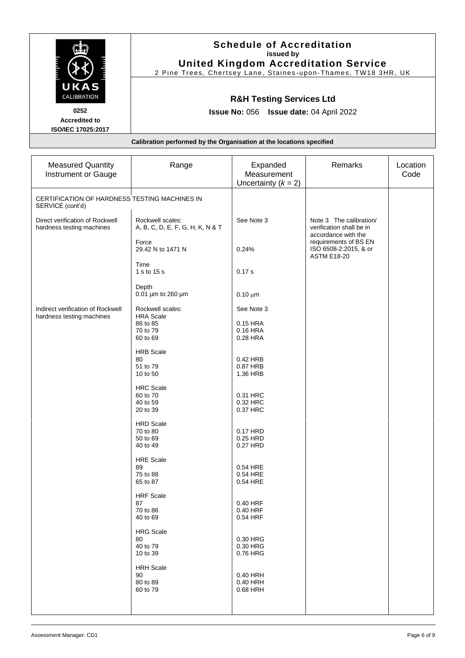| UKAS<br>CALIBRATION                                               | <b>Schedule of Accreditation</b><br>issued by<br><b>United Kingdom Accreditation Service</b><br>2 Pine Trees, Chertsey Lane, Staines-upon-Thames, TW18 3HR, UK<br><b>R&amp;H Testing Services Ltd</b><br><b>Issue No: 056 Issue date: 04 April 2022</b> |                                                  |                                                                            |                  |
|-------------------------------------------------------------------|---------------------------------------------------------------------------------------------------------------------------------------------------------------------------------------------------------------------------------------------------------|--------------------------------------------------|----------------------------------------------------------------------------|------------------|
| 0252<br><b>Accredited to</b><br>ISO/IEC 17025:2017                |                                                                                                                                                                                                                                                         |                                                  |                                                                            |                  |
|                                                                   | Calibration performed by the Organisation at the locations specified                                                                                                                                                                                    |                                                  |                                                                            |                  |
| <b>Measured Quantity</b><br>Instrument or Gauge                   | Range                                                                                                                                                                                                                                                   | Expanded<br>Measurement<br>Uncertainty $(k = 2)$ | Remarks                                                                    | Location<br>Code |
| CERTIFICATION OF HARDNESS TESTING MACHINES IN<br>SERVICE (cont'd) |                                                                                                                                                                                                                                                         |                                                  |                                                                            |                  |
| Direct verification of Rockwell<br>hardness testing machines      | Rockwell scales:<br>A, B, C, D, E, F, G, H, K, N & T                                                                                                                                                                                                    | See Note 3                                       | Note 3 The calibration/<br>verification shall be in<br>accordance with the |                  |

| Instrument or Gauge                                               |                                                      | Measurement<br>Uncertainty $(k = 2)$ |                                                                            | Code |
|-------------------------------------------------------------------|------------------------------------------------------|--------------------------------------|----------------------------------------------------------------------------|------|
| CERTIFICATION OF HARDNESS TESTING MACHINES IN<br>SERVICE (cont'd) |                                                      |                                      |                                                                            |      |
| Direct verification of Rockwell<br>hardness testing machines      | Rockwell scales:<br>A, B, C, D, E, F, G, H, K, N & T | See Note 3                           | Note 3 The calibration/<br>verification shall be in<br>accordance with the |      |
|                                                                   | Force<br>29.42 N to 1471 N                           | 0.24%                                | requirements of BS EN<br>ISO 6508-2:2015, & or<br><b>ASTM E18-20</b>       |      |
|                                                                   | Time<br>1 s to 15 s                                  | 0.17 s                               |                                                                            |      |
|                                                                   | Depth<br>0.01 µm to 260 µm                           | $0.10 \mu m$                         |                                                                            |      |
| Indirect verification of Rockwell                                 | Rockwell scales:<br><b>HRA Scale</b>                 | See Note 3                           |                                                                            |      |
| hardness testing machines                                         | 86 to 85<br>70 to 79<br>60 to 69                     | 0.15 HRA<br>0.16 HRA<br>0.28 HRA     |                                                                            |      |
|                                                                   | <b>HRB Scale</b><br>80<br>51 to 79<br>10 to 50       | 0.42 HRB<br>0.87 HRB<br>1.36 HRB     |                                                                            |      |
|                                                                   | <b>HRC</b> Scale<br>60 to 70<br>40 to 59<br>20 to 39 | 0.31 HRC<br>0.32 HRC<br>0.37 HRC     |                                                                            |      |
|                                                                   | <b>HRD Scale</b><br>70 to 80<br>50 to 69<br>40 to 49 | 0.17 HRD<br>0.25 HRD<br>0.27 HRD     |                                                                            |      |
|                                                                   | <b>HRE Scale</b><br>89<br>75 to 88<br>65 to 87       | 0.54 HRE<br>0.54 HRE<br>0.54 HRE     |                                                                            |      |
|                                                                   | <b>HRF</b> Scale<br>87<br>70 to 86<br>40 to 69       | 0.40 HRF<br>0.40 HRF<br>0.54 HRF     |                                                                            |      |
|                                                                   | <b>HRG Scale</b><br>80<br>40 to 79<br>10 to 39       | 0.30 HRG<br>0.30 HRG<br>0.76 HRG     |                                                                            |      |
|                                                                   | <b>HRH Scale</b><br>90<br>80 to 89<br>60 to 79       | 0.40 HRH<br>0.40 HRH<br>0.68 HRH     |                                                                            |      |
|                                                                   |                                                      |                                      |                                                                            |      |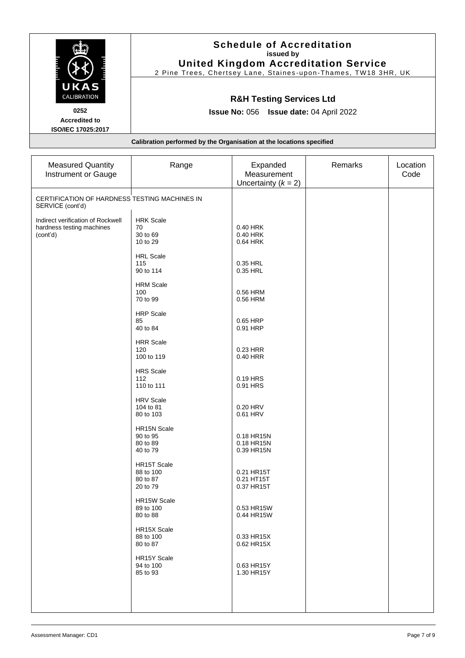|                                                                                  | <b>Schedule of Accreditation</b><br>issued by<br><b>United Kingdom Accreditation Service</b><br>2 Pine Trees, Chertsey Lane, Staines-upon-Thames, TW18 3HR, UK<br><b>R&amp;H Testing Services Ltd</b><br><b>Issue No: 056 Issue date: 04 April 2022</b> |                                                  |                |                  |
|----------------------------------------------------------------------------------|---------------------------------------------------------------------------------------------------------------------------------------------------------------------------------------------------------------------------------------------------------|--------------------------------------------------|----------------|------------------|
| UKAS<br>CALIBRATION<br>0252<br><b>Accredited to</b><br><b>ISO/IEC 17025:2017</b> |                                                                                                                                                                                                                                                         |                                                  |                |                  |
|                                                                                  | Calibration performed by the Organisation at the locations specified                                                                                                                                                                                    |                                                  |                |                  |
| <b>Measured Quantity</b><br>Instrument or Gauge                                  | Range                                                                                                                                                                                                                                                   | Expanded<br>Measurement<br>Uncertainty $(k = 2)$ | <b>Remarks</b> | _ocation<br>Code |

| instrument or Gauge                                                        |                                                  | measurement<br>Uncertainty $(k = 2)$   | Code |
|----------------------------------------------------------------------------|--------------------------------------------------|----------------------------------------|------|
| CERTIFICATION OF HARDNESS TESTING MACHINES IN<br>SERVICE (cont'd)          |                                                  |                                        |      |
| Indirect verification of Rockwell<br>hardness testing machines<br>(cont'd) | <b>HRK Scale</b><br>70<br>30 to 69<br>10 to 29   | 0.40 HRK<br>0.40 HRK<br>0.64 HRK       |      |
|                                                                            | <b>HRL Scale</b><br>115<br>90 to 114             | 0.35 HRL<br>0.35 HRL                   |      |
|                                                                            | <b>HRM Scale</b><br>100<br>70 to 99              | 0.56 HRM<br>0.56 HRM                   |      |
|                                                                            | <b>HRP</b> Scale<br>85<br>40 to 84               | 0.65 HRP<br>0.91 HRP                   |      |
|                                                                            | <b>HRR</b> Scale<br>120<br>100 to 119            | 0.23 HRR<br>0.40 HRR                   |      |
|                                                                            | <b>HRS Scale</b><br>112<br>110 to 111            | 0.19 HRS<br>0.91 HRS                   |      |
|                                                                            | <b>HRV Scale</b><br>104 to 81<br>80 to 103       | 0.20 HRV<br>0.61 HRV                   |      |
|                                                                            | HR15N Scale<br>90 to 95<br>80 to 89<br>40 to 79  | 0.18 HR15N<br>0.18 HR15N<br>0.39 HR15N |      |
|                                                                            | HR15T Scale<br>88 to 100<br>80 to 87<br>20 to 79 | 0.21 HR15T<br>0.21 HT15T<br>0.37 HR15T |      |
|                                                                            | HR15W Scale<br>89 to 100<br>80 to 88             | 0.53 HR15W<br>0.44 HR15W               |      |
|                                                                            | HR15X Scale<br>88 to 100<br>80 to 87             | 0.33 HR15X<br>0.62 HR15X               |      |
|                                                                            | HR15Y Scale<br>94 to 100<br>85 to 93             | 0.63 HR15Y<br>1.30 HR15Y               |      |
|                                                                            |                                                  |                                        |      |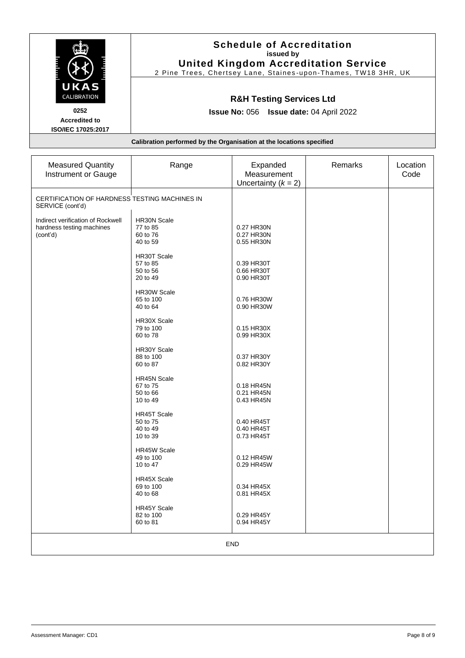|                                                                      | <b>Schedule of Accreditation</b><br>issued by<br><b>United Kingdom Accreditation Service</b><br>2 Pine Trees, Chertsey Lane, Staines-upon-Thames, TW18 3HR, UK |  |  |  |  |
|----------------------------------------------------------------------|----------------------------------------------------------------------------------------------------------------------------------------------------------------|--|--|--|--|
| UKAS<br>CALIBRATION<br>0252                                          | <b>R&amp;H Testing Services Ltd</b><br><b>Issue No: 056 Issue date: 04 April 2022</b>                                                                          |  |  |  |  |
| <b>Accredited to</b><br><b>ISO/IEC 17025:2017</b>                    |                                                                                                                                                                |  |  |  |  |
| Calibration performed by the Organisation at the locations specified |                                                                                                                                                                |  |  |  |  |
|                                                                      |                                                                                                                                                                |  |  |  |  |
|                                                                      |                                                                                                                                                                |  |  |  |  |

| <b>Measured Quantity</b><br><b>Instrument or Gauge</b>                     | Range                                                  | Expanded<br>Measurement<br>Uncertainty $(k = 2)$ | Remarks | Location<br>Code |  |
|----------------------------------------------------------------------------|--------------------------------------------------------|--------------------------------------------------|---------|------------------|--|
| CERTIFICATION OF HARDNESS TESTING MACHINES IN<br>SERVICE (cont'd)          |                                                        |                                                  |         |                  |  |
| Indirect verification of Rockwell<br>hardness testing machines<br>(cont'd) | HR30N Scale<br>77 to 85<br>60 to 76<br>40 to 59        | 0.27 HR30N<br>0.27 HR30N<br>0.55 HR30N           |         |                  |  |
|                                                                            | HR30T Scale<br>57 to 85<br>50 to 56<br>20 to 49        | 0.39 HR30T<br>0.66 HR30T<br>0.90 HR30T           |         |                  |  |
|                                                                            | HR30W Scale<br>65 to 100<br>40 to 64                   | 0.76 HR30W<br>0.90 HR30W                         |         |                  |  |
|                                                                            | HR30X Scale<br>79 to 100<br>60 to 78                   | 0.15 HR30X<br>0.99 HR30X                         |         |                  |  |
|                                                                            | HR30Y Scale<br>88 to 100<br>60 to 87                   | 0.37 HR30Y<br>0.82 HR30Y                         |         |                  |  |
|                                                                            | <b>HR45N Scale</b><br>67 to 75<br>50 to 66<br>10 to 49 | 0.18 HR45N<br>0.21 HR45N<br>0.43 HR45N           |         |                  |  |
|                                                                            | <b>HR45T Scale</b><br>50 to 75<br>40 to 49<br>10 to 39 | 0.40 HR45T<br>0.40 HR45T<br>0.73 HR45T           |         |                  |  |
|                                                                            | <b>HR45W Scale</b><br>49 to 100<br>10 to 47            | 0.12 HR45W<br>0.29 HR45W                         |         |                  |  |
|                                                                            | <b>HR45X Scale</b><br>69 to 100<br>40 to 68            | 0.34 HR45X<br>0.81 HR45X                         |         |                  |  |
|                                                                            | HR45Y Scale<br>82 to 100<br>60 to 81                   | 0.29 HR45Y<br>0.94 HR45Y                         |         |                  |  |
| <b>END</b>                                                                 |                                                        |                                                  |         |                  |  |
|                                                                            |                                                        |                                                  |         |                  |  |